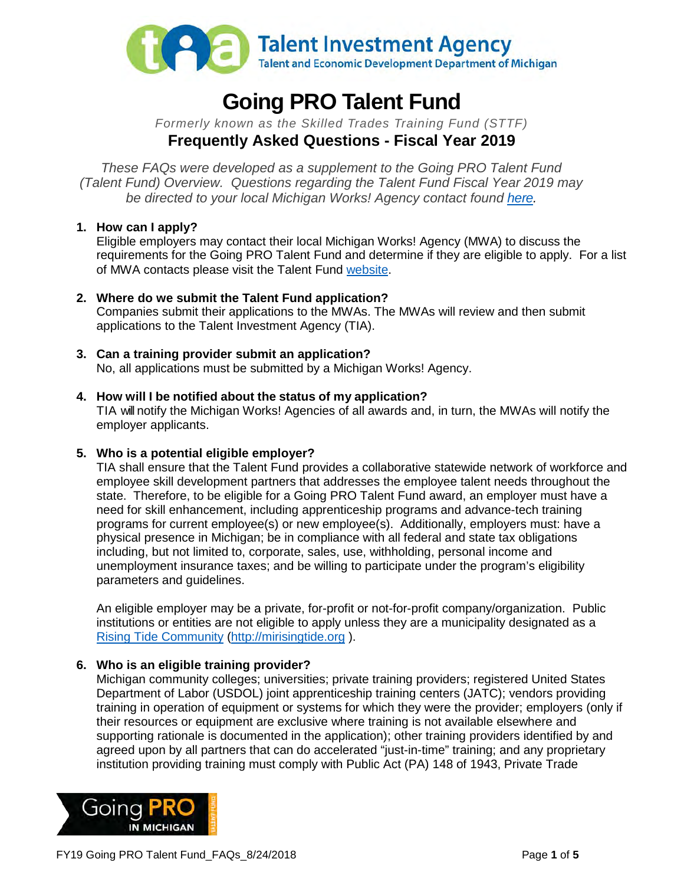

# **Going PRO Talent Fund**

*Formerly known as the Skilled Trades Training Fund (STTF)* **Frequently Asked Questions - Fiscal Year 2019**

*These FAQs were developed as a supplement to the Going PRO Talent Fund (Talent Fund) Overview. Questions regarding the Talent Fund Fiscal Year 2019 may be directed to your local Michigan Works! Agency contact found [here.](http://www.michigan.gov/documents/wda/Map_with_Key_Contacts_434690_7.pdf)*

# **1. How can I apply?**

Eligible employers may contact their local Michigan Works! Agency (MWA) to discuss the requirements for the Going PRO Talent Fund and determine if they are eligible to apply. For a list of MWA contacts please visit the Talent Fund [website.](http://www.michigan.gov/talentfund)

- **2. Where do we submit the Talent Fund application?**  Companies submit their applications to the MWAs. The MWAs will review and then submit applications to the Talent Investment Agency (TIA).
- **3. Can a training provider submit an application?** No, all applications must be submitted by a Michigan Works! Agency.
- **4. How will I be notified about the status of my application?** TIA will notify the Michigan Works! Agencies of all awards and, in turn, the MWAs will notify the employer applicants.

# **5. Who is a potential eligible employer?**

TIA shall ensure that the Talent Fund provides a collaborative statewide network of workforce and employee skill development partners that addresses the employee talent needs throughout the state. Therefore, to be eligible for a Going PRO Talent Fund award, an employer must have a need for skill enhancement, including apprenticeship programs and advance-tech training programs for current employee(s) or new employee(s). Additionally, employers must: have a physical presence in Michigan; be in compliance with all federal and state tax obligations including, but not limited to, corporate, sales, use, withholding, personal income and unemployment insurance taxes; and be willing to participate under the program's eligibility parameters and guidelines.

An eligible employer may be a private, for-profit or not-for-profit company/organization. Public institutions or entities are not eligible to apply unless they are a municipality designated as a [Rising Tide Community \(http://mirisingtide.org](http://mirisingtide.org/) ).

# **6. Who is an eligible training provider?**

Michigan community colleges; universities; private training providers; registered United States Department of Labor (USDOL) joint apprenticeship training centers (JATC); vendors providing training in operation of equipment or systems for which they were the provider; employers (only if their resources or equipment are exclusive where training is not available elsewhere and supporting rationale is documented in the application); other training providers identified by and agreed upon by all partners that can do accelerated "just-in-time" training; and any proprietary institution providing training must comply with Public Act (PA) 148 of 1943, Private Trade

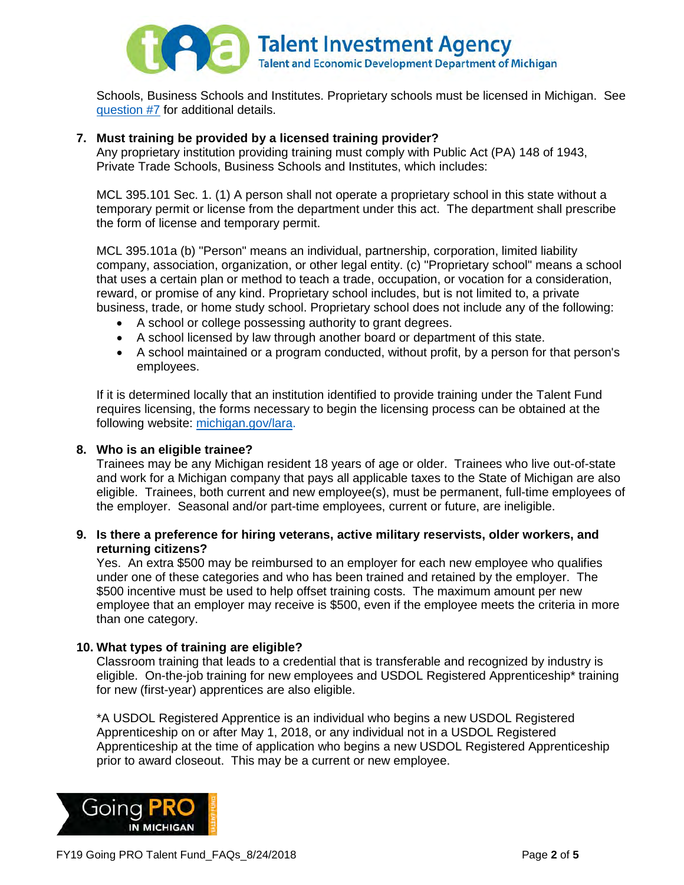

Schools, Business Schools and Institutes. Proprietary schools must be licensed in Michigan. See [question #7](#page-1-0) for additional details.

## **7. Must training be provided by a licensed training provider?**

<span id="page-1-0"></span>Any proprietary institution providing training must comply with Public Act (PA) 148 of 1943, Private Trade Schools, Business Schools and Institutes, which includes:

MCL 395.101 Sec. 1. (1) A person shall not operate a proprietary school in this state without a temporary permit or license from the department under this act. The department shall prescribe the form of license and temporary permit.

MCL 395.101a (b) "Person" means an individual, partnership, corporation, limited liability company, association, organization, or other legal entity. (c) "Proprietary school" means a school that uses a certain plan or method to teach a trade, occupation, or vocation for a consideration, reward, or promise of any kind. Proprietary school includes, but is not limited to, a private business, trade, or home study school. Proprietary school does not include any of the following:

- A school or college possessing authority to grant degrees.
- A school licensed by law through another board or department of this state.
- A school maintained or a program conducted, without profit, by a person for that person's employees.

If it is determined locally that an institution identified to provide training under the Talent Fund requires licensing, the forms necessary to begin the licensing process can be obtained at the following website: [michigan.gov/lara.](http://www.michigan.gov/lara/0,4601,7-154-35299_61343_35414_60647_2739---,00.html)

#### **8. Who is an eligible trainee?**

Trainees may be any Michigan resident 18 years of age or older. Trainees who live out-of-state and work for a Michigan company that pays all applicable taxes to the State of Michigan are also eligible. Trainees, both current and new employee(s), must be permanent, full-time employees of the employer. Seasonal and/or part-time employees, current or future, are ineligible.

#### **9. Is there a preference for hiring veterans, active military reservists, older workers, and returning citizens?**

Yes. An extra \$500 may be reimbursed to an employer for each new employee who qualifies under one of these categories and who has been trained and retained by the employer. The \$500 incentive must be used to help offset training costs. The maximum amount per new employee that an employer may receive is \$500, even if the employee meets the criteria in more than one category.

#### **10. What types of training are eligible?**

Classroom training that leads to a credential that is transferable and recognized by industry is eligible. On-the-job training for new employees and USDOL Registered Apprenticeship\* training for new (first-year) apprentices are also eligible.

\*A USDOL Registered Apprentice is an individual who begins a new USDOL Registered Apprenticeship on or after May 1, 2018, or any individual not in a USDOL Registered Apprenticeship at the time of application who begins a new USDOL Registered Apprenticeship prior to award closeout. This may be a current or new employee.

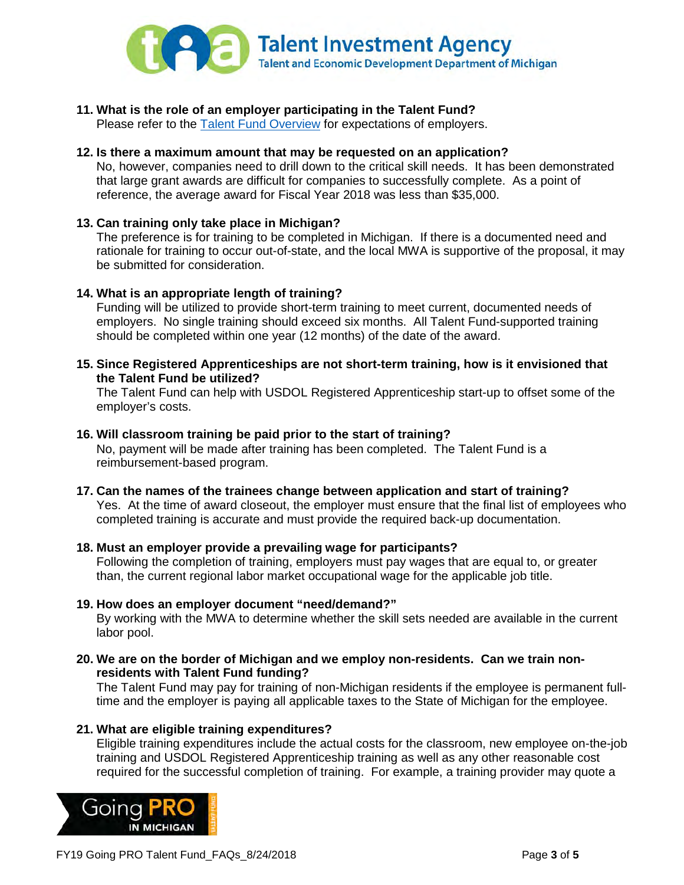

**11. What is the role of an employer participating in the Talent Fund?** 

Please refer to the **Talent Fund Overview** for expectations of employers.

**12. Is there a maximum amount that may be requested on an application?** 

No, however, companies need to drill down to the critical skill needs. It has been demonstrated that large grant awards are difficult for companies to successfully complete. As a point of reference, the average award for Fiscal Year 2018 was less than \$35,000.

# **13. Can training only take place in Michigan?**

The preference is for training to be completed in Michigan. If there is a documented need and rationale for training to occur out-of-state, and the local MWA is supportive of the proposal, it may be submitted for consideration.

#### **14. What is an appropriate length of training?**

Funding will be utilized to provide short-term training to meet current, documented needs of employers. No single training should exceed six months. All Talent Fund-supported training should be completed within one year (12 months) of the date of the award.

**15. Since Registered Apprenticeships are not short-term training, how is it envisioned that the Talent Fund be utilized?**

The Talent Fund can help with USDOL Registered Apprenticeship start-up to offset some of the employer's costs.

#### **16. Will classroom training be paid prior to the start of training?**

No, payment will be made after training has been completed. The Talent Fund is a reimbursement-based program.

**17. Can the names of the trainees change between application and start of training?** Yes. At the time of award closeout, the employer must ensure that the final list of employees who completed training is accurate and must provide the required back-up documentation.

# **18. Must an employer provide a prevailing wage for participants?**

Following the completion of training, employers must pay wages that are equal to, or greater than, the current regional labor market occupational wage for the applicable job title.

- **19. How does an employer document "need/demand?"**  By working with the MWA to determine whether the skill sets needed are available in the current labor pool.
- **20. We are on the border of Michigan and we employ non-residents. Can we train nonresidents with Talent Fund funding?**

The Talent Fund may pay for training of non-Michigan residents if the employee is permanent fulltime and the employer is paying all applicable taxes to the State of Michigan for the employee.

#### **21. What are eligible training expenditures?**

Eligible training expenditures include the actual costs for the classroom, new employee on-the-job training and USDOL Registered Apprenticeship training as well as any other reasonable cost required for the successful completion of training. For example, a training provider may quote a

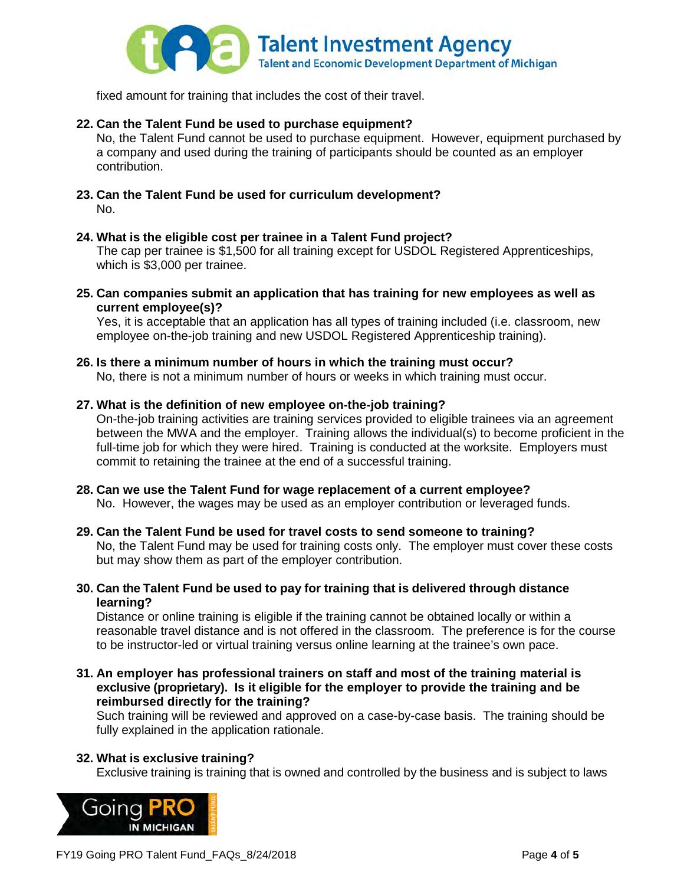

fixed amount for training that includes the cost of their travel.

# **22. Can the Talent Fund be used to purchase equipment?**

No, the Talent Fund cannot be used to purchase equipment. However, equipment purchased by a company and used during the training of participants should be counted as an employer contribution.

**23. Can the Talent Fund be used for curriculum development?** No.

# **24. What is the eligible cost per trainee in a Talent Fund project?**

The cap per trainee is \$1,500 for all training except for USDOL Registered Apprenticeships, which is \$3,000 per trainee.

**25. Can companies submit an application that has training for new employees as well as current employee(s)?** 

Yes, it is acceptable that an application has all types of training included (i.e. classroom, new employee on-the-job training and new USDOL Registered Apprenticeship training).

## **26. Is there a minimum number of hours in which the training must occur?** No, there is not a minimum number of hours or weeks in which training must occur.

# **27. What is the definition of new employee on-the-job training?**

On-the-job training activities are training services provided to eligible trainees via an agreement between the MWA and the employer. Training allows the individual(s) to become proficient in the full-time job for which they were hired. Training is conducted at the worksite. Employers must commit to retaining the trainee at the end of a successful training.

**28. Can we use the Talent Fund for wage replacement of a current employee?** No. However, the wages may be used as an employer contribution or leveraged funds.

# **29. Can the Talent Fund be used for travel costs to send someone to training?**

No, the Talent Fund may be used for training costs only. The employer must cover these costs but may show them as part of the employer contribution.

**30. Can the Talent Fund be used to pay for training that is delivered through distance learning?**

Distance or online training is eligible if the training cannot be obtained locally or within a reasonable travel distance and is not offered in the classroom. The preference is for the course to be instructor-led or virtual training versus online learning at the trainee's own pace.

**31. An employer has professional trainers on staff and most of the training material is exclusive (proprietary). Is it eligible for the employer to provide the training and be reimbursed directly for the training?**

Such training will be reviewed and approved on a case-by-case basis. The training should be fully explained in the application rationale.

# **32. What is exclusive training?**

Exclusive training is training that is owned and controlled by the business and is subject to laws